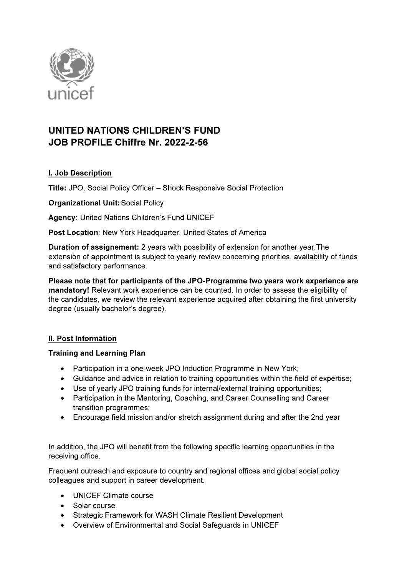

# UNITED NATIONS CHILDREN'S FUND JOB PROFILE Chiffre Nr. 2022-2-56

# I. Job Description

Title: JPO, Social Policy Officer – Shock Responsive Social Protection

Organizational Unit: Social Policy

Agency: United Nations Children's Fund UNICEF

Post Location: New York Headquarter, United States of America

Duration of assignement: 2 years with possibility of extension for another year.The extension of appointment is subject to yearly review concerning priorities, availability of funds and satisfactory performance.

Please note that for participants of the JPO-Programme two years work experience are mandatory! Relevant work experience can be counted. In order to assess the eligibility of the candidates, we review the relevant experience acquired after obtaining the first university degree (usually bachelor's degree).

# II. Post Information

# Training and Learning Plan

- Participation in a one-week JPO Induction Programme in New York;
- Guidance and advice in relation to training opportunities within the field of expertise;
- Use of yearly JPO training funds for internal/external training opportunities;
- Participation in the Mentoring, Coaching, and Career Counselling and Career transition programmes;
- Encourage field mission and/or stretch assignment during and after the 2nd year

In addition, the JPO will benefit from the following specific learning opportunities in the receiving office.

Frequent outreach and exposure to country and regional offices and global social policy colleagues and support in career development.

- UNICEF Climate course
- Solar course
- Strategic Framework for WASH Climate Resilient Development
- Overview of Environmental and Social Safeguards in UNICEF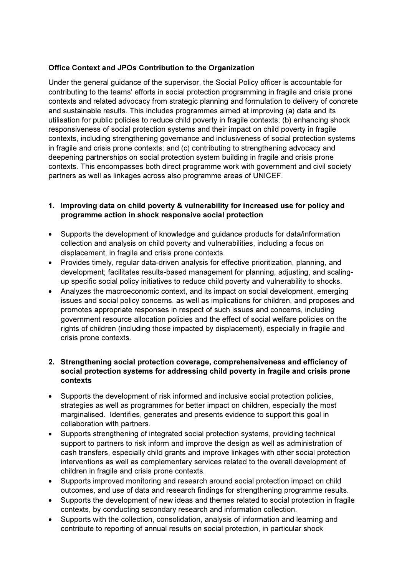# Office Context and JPOs Contribution to the Organization

Under the general guidance of the supervisor, the Social Policy officer is accountable for contributing to the teams' efforts in social protection programming in fragile and crisis prone contexts and related advocacy from strategic planning and formulation to delivery of concrete and sustainable results. This includes programmes aimed at improving (a) data and its utilisation for public policies to reduce child poverty in fragile contexts; (b) enhancing shock responsiveness of social protection systems and their impact on child poverty in fragile contexts, including strengthening governance and inclusiveness of social protection systems in fragile and crisis prone contexts; and (c) contributing to strengthening advocacy and deepening partnerships on social protection system building in fragile and crisis prone contexts. This encompasses both direct programme work with government and civil society partners as well as linkages across also programme areas of UNICEF.

### 1. Improving data on child poverty & vulnerability for increased use for policy and programme action in shock responsive social protection

- Supports the development of knowledge and guidance products for data/information collection and analysis on child poverty and vulnerabilities, including a focus on displacement, in fragile and crisis prone contexts.
- Provides timely, regular data-driven analysis for effective prioritization, planning, and development; facilitates results-based management for planning, adjusting, and scalingup specific social policy initiatives to reduce child poverty and vulnerability to shocks.
- Analyzes the macroeconomic context, and its impact on social development, emerging issues and social policy concerns, as well as implications for children, and proposes and promotes appropriate responses in respect of such issues and concerns, including government resource allocation policies and the effect of social welfare policies on the rights of children (including those impacted by displacement), especially in fragile and crisis prone contexts.

### 2. Strengthening social protection coverage, comprehensiveness and efficiency of social protection systems for addressing child poverty in fragile and crisis prone contexts

- Supports the development of risk informed and inclusive social protection policies, strategies as well as programmes for better impact on children, especially the most marginalised. Identifies, generates and presents evidence to support this goal in collaboration with partners.
- Supports strengthening of integrated social protection systems, providing technical support to partners to risk inform and improve the design as well as administration of cash transfers, especially child grants and improve linkages with other social protection interventions as well as complementary services related to the overall development of children in fragile and crisis prone contexts.
- Supports improved monitoring and research around social protection impact on child outcomes, and use of data and research findings for strengthening programme results.
- Supports the development of new ideas and themes related to social protection in fragile contexts, by conducting secondary research and information collection.
- Supports with the collection, consolidation, analysis of information and learning and contribute to reporting of annual results on social protection, in particular shock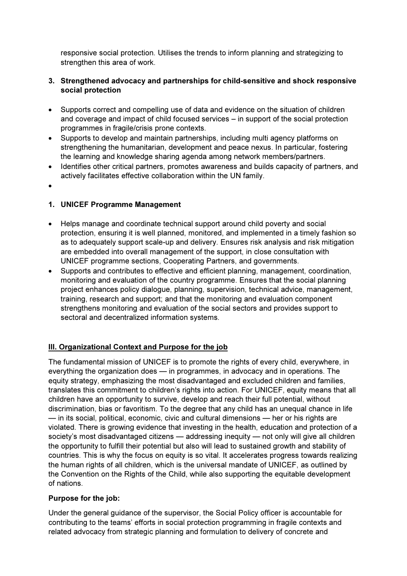responsive social protection. Utilises the trends to inform planning and strategizing to strengthen this area of work.

### 3. Strengthened advocacy and partnerships for child-sensitive and shock responsive social protection

- Supports correct and compelling use of data and evidence on the situation of children and coverage and impact of child focused services – in support of the social protection programmes in fragile/crisis prone contexts.
- Supports to develop and maintain partnerships, including multi agency platforms on strengthening the humanitarian, development and peace nexus. In particular, fostering the learning and knowledge sharing agenda among network members/partners.
- Identifies other critical partners, promotes awareness and builds capacity of partners, and actively facilitates effective collaboration within the UN family.
- $\bullet$

# 1. UNICEF Programme Management

- Helps manage and coordinate technical support around child poverty and social protection, ensuring it is well planned, monitored, and implemented in a timely fashion so as to adequately support scale-up and delivery. Ensures risk analysis and risk mitigation are embedded into overall management of the support, in close consultation with UNICEF programme sections, Cooperating Partners, and governments.
- Supports and contributes to effective and efficient planning, management, coordination, monitoring and evaluation of the country programme. Ensures that the social planning project enhances policy dialogue, planning, supervision, technical advice, management, training, research and support; and that the monitoring and evaluation component strengthens monitoring and evaluation of the social sectors and provides support to sectoral and decentralized information systems.

# III. Organizational Context and Purpose for the job

The fundamental mission of UNICEF is to promote the rights of every child, everywhere, in everything the organization does — in programmes, in advocacy and in operations. The equity strategy, emphasizing the most disadvantaged and excluded children and families, translates this commitment to children's rights into action. For UNICEF, equity means that all children have an opportunity to survive, develop and reach their full potential, without discrimination, bias or favoritism. To the degree that any child has an unequal chance in life — in its social, political, economic, civic and cultural dimensions — her or his rights are violated. There is growing evidence that investing in the health, education and protection of a society's most disadvantaged citizens — addressing inequity — not only will give all children the opportunity to fulfill their potential but also will lead to sustained growth and stability of countries. This is why the focus on equity is so vital. It accelerates progress towards realizing the human rights of all children, which is the universal mandate of UNICEF, as outlined by the Convention on the Rights of the Child, while also supporting the equitable development of nations.

# Purpose for the job:

Under the general guidance of the supervisor, the Social Policy officer is accountable for contributing to the teams' efforts in social protection programming in fragile contexts and related advocacy from strategic planning and formulation to delivery of concrete and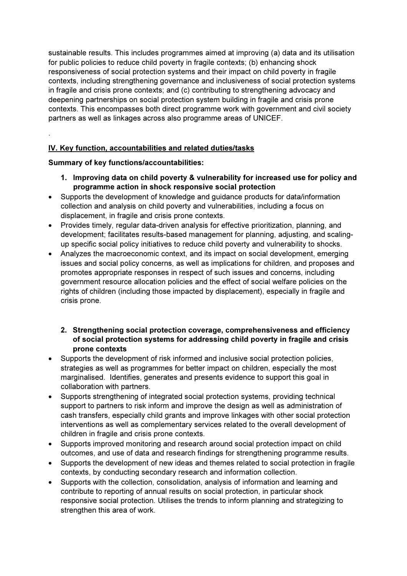sustainable results. This includes programmes aimed at improving (a) data and its utilisation for public policies to reduce child poverty in fragile contexts; (b) enhancing shock responsiveness of social protection systems and their impact on child poverty in fragile contexts, including strengthening governance and inclusiveness of social protection systems in fragile and crisis prone contexts; and (c) contributing to strengthening advocacy and deepening partnerships on social protection system building in fragile and crisis prone contexts. This encompasses both direct programme work with government and civil society partners as well as linkages across also programme areas of UNICEF.

# IV. Key function, accountabilities and related duties/tasks

Summary of key functions/accountabilities:

.

- 1. Improving data on child poverty & vulnerability for increased use for policy and programme action in shock responsive social protection
- Supports the development of knowledge and guidance products for data/information collection and analysis on child poverty and vulnerabilities, including a focus on displacement, in fragile and crisis prone contexts.
- Provides timely, regular data-driven analysis for effective prioritization, planning, and development; facilitates results-based management for planning, adjusting, and scalingup specific social policy initiatives to reduce child poverty and vulnerability to shocks.
- Analyzes the macroeconomic context, and its impact on social development, emerging issues and social policy concerns, as well as implications for children, and proposes and promotes appropriate responses in respect of such issues and concerns, including government resource allocation policies and the effect of social welfare policies on the rights of children (including those impacted by displacement), especially in fragile and crisis prone.

### 2. Strengthening social protection coverage, comprehensiveness and efficiency of social protection systems for addressing child poverty in fragile and crisis prone contexts

- Supports the development of risk informed and inclusive social protection policies, strategies as well as programmes for better impact on children, especially the most marginalised. Identifies, generates and presents evidence to support this goal in collaboration with partners.
- Supports strengthening of integrated social protection systems, providing technical support to partners to risk inform and improve the design as well as administration of cash transfers, especially child grants and improve linkages with other social protection interventions as well as complementary services related to the overall development of children in fragile and crisis prone contexts.
- Supports improved monitoring and research around social protection impact on child outcomes, and use of data and research findings for strengthening programme results.
- Supports the development of new ideas and themes related to social protection in fragile contexts, by conducting secondary research and information collection.
- Supports with the collection, consolidation, analysis of information and learning and contribute to reporting of annual results on social protection, in particular shock responsive social protection. Utilises the trends to inform planning and strategizing to strengthen this area of work.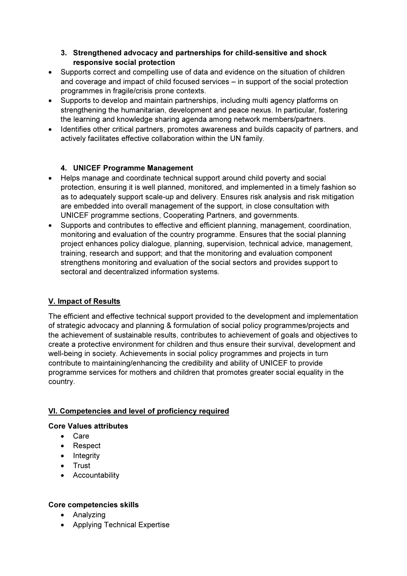# 3. Strengthened advocacy and partnerships for child-sensitive and shock responsive social protection

- Supports correct and compelling use of data and evidence on the situation of children and coverage and impact of child focused services – in support of the social protection programmes in fragile/crisis prone contexts.
- Supports to develop and maintain partnerships, including multi agency platforms on strengthening the humanitarian, development and peace nexus. In particular, fostering the learning and knowledge sharing agenda among network members/partners.
- Identifies other critical partners, promotes awareness and builds capacity of partners, and actively facilitates effective collaboration within the UN family.

# 4. UNICEF Programme Management

- Helps manage and coordinate technical support around child poverty and social protection, ensuring it is well planned, monitored, and implemented in a timely fashion so as to adequately support scale-up and delivery. Ensures risk analysis and risk mitigation are embedded into overall management of the support, in close consultation with UNICEF programme sections, Cooperating Partners, and governments.
- Supports and contributes to effective and efficient planning, management, coordination, monitoring and evaluation of the country programme. Ensures that the social planning project enhances policy dialogue, planning, supervision, technical advice, management, training, research and support; and that the monitoring and evaluation component strengthens monitoring and evaluation of the social sectors and provides support to sectoral and decentralized information systems.

# V. Impact of Results

The efficient and effective technical support provided to the development and implementation of strategic advocacy and planning & formulation of social policy programmes/projects and the achievement of sustainable results, contributes to achievement of goals and objectives to create a protective environment for children and thus ensure their survival, development and well-being in society. Achievements in social policy programmes and projects in turn contribute to maintaining/enhancing the credibility and ability of UNICEF to provide programme services for mothers and children that promotes greater social equality in the country.

# VI. Competencies and level of proficiency required

# Core Values attributes

- Care
- Respect
- $\bullet$  Integrity
- Trust
- Accountability

# Core competencies skills

- Analyzing
- Applying Technical Expertise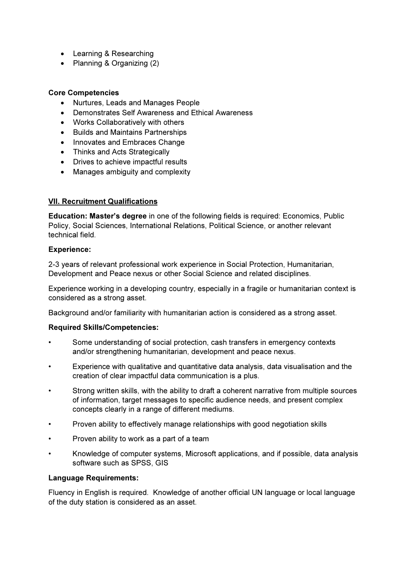- Learning & Researching
- Planning & Organizing (2)

#### Core Competencies

- Nurtures, Leads and Manages People
- Demonstrates Self Awareness and Ethical Awareness
- Works Collaboratively with others
- Builds and Maintains Partnerships
- Innovates and Embraces Change
- Thinks and Acts Strategically
- Drives to achieve impactful results
- Manages ambiguity and complexity

#### VII. Recruitment Qualifications

Education: Master's degree in one of the following fields is required: Economics, Public Policy, Social Sciences, International Relations, Political Science, or another relevant technical field.

#### Experience:

2-3 years of relevant professional work experience in Social Protection, Humanitarian, Development and Peace nexus or other Social Science and related disciplines.

Experience working in a developing country, especially in a fragile or humanitarian context is considered as a strong asset.

Background and/or familiarity with humanitarian action is considered as a strong asset.

#### Required Skills/Competencies:

- Some understanding of social protection, cash transfers in emergency contexts and/or strengthening humanitarian, development and peace nexus.
- Experience with qualitative and quantitative data analysis, data visualisation and the creation of clear impactful data communication is a plus.
- Strong written skills, with the ability to draft a coherent narrative from multiple sources of information, target messages to specific audience needs, and present complex concepts clearly in a range of different mediums.
- Proven ability to effectively manage relationships with good negotiation skills
- Proven ability to work as a part of a team
- Knowledge of computer systems, Microsoft applications, and if possible, data analysis software such as SPSS, GIS

#### Language Requirements:

Fluency in English is required. Knowledge of another official UN language or local language of the duty station is considered as an asset.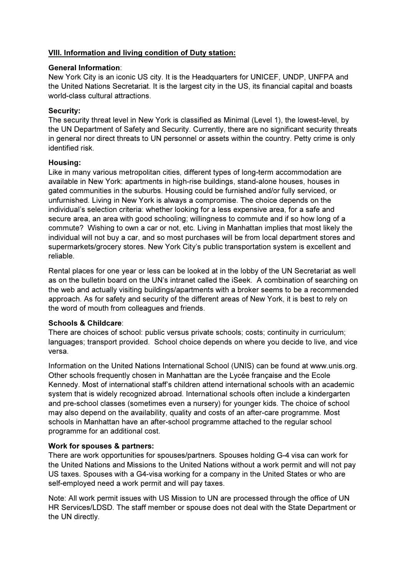# VIII. Information and living condition of Duty station:

#### General Information:

New York City is an iconic US city. It is the Headquarters for UNICEF, UNDP, UNFPA and the United Nations Secretariat. It is the largest city in the US, its financial capital and boasts world-class cultural attractions.

### Security:

The security threat level in New York is classified as Minimal (Level 1), the lowest-level, by the UN Department of Safety and Security. Currently, there are no significant security threats in general nor direct threats to UN personnel or assets within the country. Petty crime is only identified risk.

### Housing:

Like in many various metropolitan cities, different types of long-term accommodation are available in New York: apartments in high-rise buildings, stand-alone houses, houses in gated communities in the suburbs. Housing could be furnished and/or fully serviced, or unfurnished. Living in New York is always a compromise. The choice depends on the individual's selection criteria: whether looking for a less expensive area, for a safe and secure area, an area with good schooling; willingness to commute and if so how long of a commute? Wishing to own a car or not, etc. Living in Manhattan implies that most likely the individual will not buy a car, and so most purchases will be from local department stores and supermarkets/grocery stores. New York City's public transportation system is excellent and reliable.

Rental places for one year or less can be looked at in the lobby of the UN Secretariat as well as on the bulletin board on the UN's intranet called the iSeek. A combination of searching on the web and actually visiting buildings/apartments with a broker seems to be a recommended approach. As for safety and security of the different areas of New York, it is best to rely on the word of mouth from colleagues and friends.

# Schools & Childcare:

There are choices of school: public versus private schools; costs; continuity in curriculum; languages; transport provided. School choice depends on where you decide to live, and vice versa.

Information on the United Nations International School (UNIS) can be found at www.unis.org. Other schools frequently chosen in Manhattan are the Lycée française and the Ecole Kennedy. Most of international staff's children attend international schools with an academic system that is widely recognized abroad. International schools often include a kindergarten and pre-school classes (sometimes even a nursery) for younger kids. The choice of school may also depend on the availability, quality and costs of an after-care programme. Most schools in Manhattan have an after-school programme attached to the regular school programme for an additional cost.

# Work for spouses & partners:

There are work opportunities for spouses/partners. Spouses holding G-4 visa can work for the United Nations and Missions to the United Nations without a work permit and will not pay US taxes. Spouses with a G4-visa working for a company in the United States or who are self-employed need a work permit and will pay taxes.

Note: All work permit issues with US Mission to UN are processed through the office of UN HR Services/LDSD. The staff member or spouse does not deal with the State Department or the UN directly.